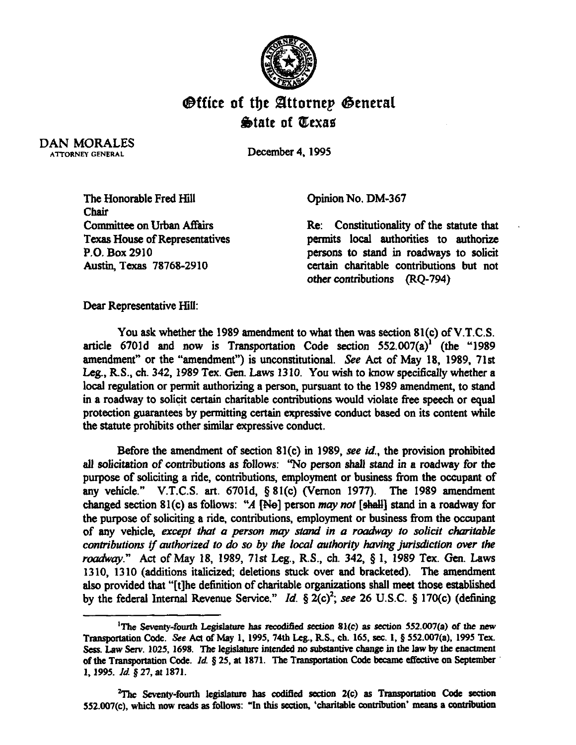

## **Office of the Attornep General &ate of QexaS**

DAN MORALES ATTORNEY GENERAL

December 4,199s

The Honorable Fred Hill Chair Committee on Urban Affairs Texas House of Representatives P.O. Box 2910 Austin, Texas 78768-2910

Opinion No. DM-367

Re: Constitutionality of the statute that permits local authorities to authorize persons to stand in roadways to solicit certain charitable contributions but not other contributions (RQ-794)

Dear Representative Hill:

You ask whether the 1989 amendment to what then was section 81(c) of V.T.C.S. article 6701d and now is Transportation Code section  $552.007(a)^{1}$  (the "1989 amendment" or the "amendment") is unconstitutional. See Act of May 18, 1989, 71st Leg., R.S., ch. 342, 1989 Tex. Gen. Laws 1310. You wish to know specifically whether a local regulation or permit authorizing a person, pursuant to the 1989 amendment, to stand in a roadway to solicit certain charitable contributions would violate free speech or equal protection guarantees by permitting certain expressive conduct based on its content while the statute prohibits other similar expressive conduct.

Before the amendment of section 81(c) in 1989, see *id.,* the provision prohibited all solicitation of contributions as follows: "No person shall stand in a roadway for the purpose of soliciting a ride, contributions, employment or business from the occupant of any vehicle." V.T.C.S. art. 6701d, § 81(c) (Vernon 1977). The 1989 amendment changed section 81(c) as follows: "A [No] person may not [shall] stand in a roadway for the purpose of soliciting a ride, contributions, employment or business from the occupant of any vehicle, except that a person may stand in a roadway to solicit charitable *contributions if authorized to do so by the local authority having jurisdiction over the roadway.*" Act of May 18, 1989, 71st Leg., R.S., ch. 342, § 1, 1989 Tex. Gen. Laws 1310, 1310 (additions italicized; deletions stuck over and bracketed). The amendment also provided that "[t]he definition of charitable organizations shall meet those established by the federal Internal Revenue Service." *Id.*  $\S$  2(c)<sup>2</sup>; see 26 U.S.C.  $\S$  170(c) (defining

<sup>&</sup>lt;sup>1</sup>The Seventy-fourth Legislature has recodified section 81(c) as section 552.007(a) of the new Transportation Code. See Act of May 1, 1995, 74th Leg., R.S., ch. 165, sec. 1, § 552.007(a), 1995 Tex. Sess. Law Serv. 1025, 1698. The legislature intended no substantive change in the law by the enactment of the Transportation Code. *Id.* § 25, at 1871. The Transportation Code became effective on September **1, 1995. Id 8 27, at 1871.** 

<sup>&</sup>lt;sup>2</sup>The Seventy-fourth legislature has codified section 2(c) as Transportation Code section 552.007(c), which now reads as follows: "In this section, 'charitable contribution' means a contribution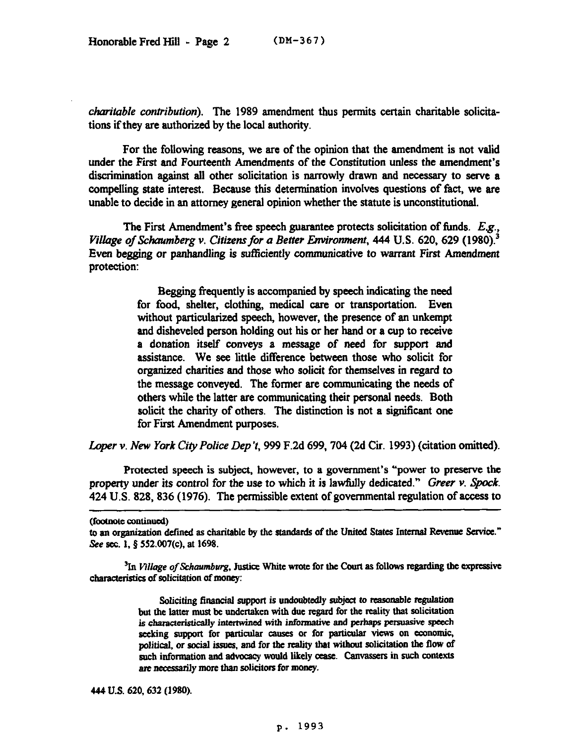*charitable contribution*). The 1989 amendment thus permits certain charitable solicitations if they are authorized by the local authority.

For the following reasons, we are of the opinion that the amendment is not valid under the First and Fourteenth Amendments of the Constitution unless the amendment's discrimination against all other solicitation is narrowly drawn and necessary to serve a compelling state interest. Because this determination involves questions of fact, we are unable to decide in an attorney general opinion whether the statute is unconstitutional.

The Fist Amendment's free speech guarantee protects solicitation of funds. *Eg., Village of Schaumberg v. Citizens for a Better Environment, 444 U.S. 620, 629 (1980).*<sup>3</sup> Even begging or panhandling is *sufficiently* communicative *to warrant* First *Amendment*  protection:

> Begging frequently is accompanied by speech indicating the need for food, shelter, clothing, medical care or transportation. Even without particularized speech, however, the presence of an unkempt and disheveled person holding out his or her hand or a cup to receive a donation itself conveys a message of need for support and assistance. We see little difference between those who solicit for organized charities and those who solicit for themselves in regard to the message conveyed. The former are communicating the needs of others while the latter are communicating their personal needs. Both solicit the charity of others. The distinction is not a significant one for First Amendment purposes.

Loper v. New York City Police Dep 't, 999 F.2d 699, 704 (2d Cir. 1993) (citation omitted).

Protected speech is subject, however, to a government's "power to preserve the property under its control for the use to which it is lawfully dedicated." Greer  $\nu$ . Spock. 424 U.S. 828, 836 (1976). The permissible extent of governmental regulation of access to

<sup>3</sup>In Village of Schaumburg, Justice White wrote for the Court as follows regarding the expressive characteristics of solicitation of money:

> Soliciting financial support is undoubtedly subject to reasonable regulation but the latter must be undertaken with due regard for the reality that solicitation is characteristically intertwined with informative and perhaps persuasive speech seeking support for particular causes or for particular views on economic. **political, or social issoes, and for the reality that without solicitation the flow of**  such information and advocacy would likely cease. Canvassers in such contexts are necessarily more than solicitors for money.

<sup>(</sup>footnote continued)

to an organization defined as charitable by the standards of the United States Internal Revenue Service." See sec. 1, § 552.007(c), at 1698.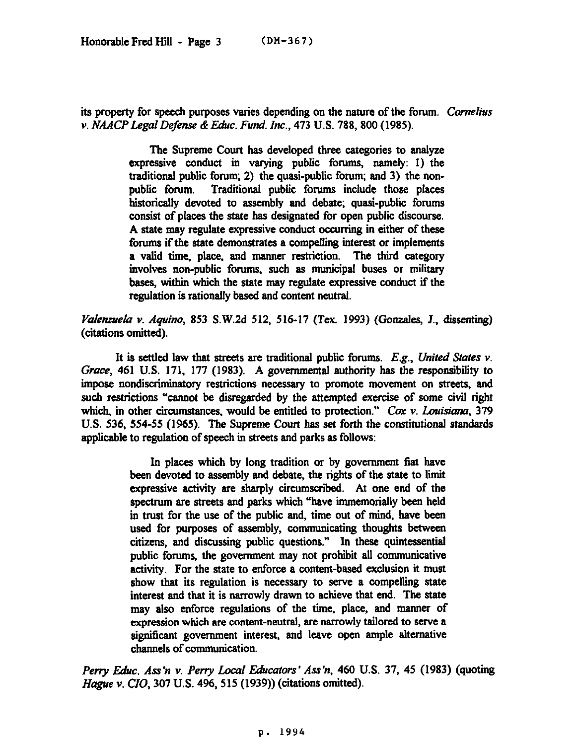its property for speech purposes varies depending *on* the nature of the forum. *Cornelius v. NAACPLegalDefense &E&c. Fund. Inc., 473* U.S. 788, 800 (1985).

> The Supreme Court has developed three categories to analyze expressive conduct in varying public forums, namely: 1) the traditional public forum; 2) the quasi-public forum; and 3) the nonpublic forum. Traditional public forums include those places historically devoted to assembly and debate; quasi-public forums consist of places the state has designated for open public discourse. A state may regulate expressive conduct occurring in either of these forums if the state demonstrates a compelling interest or implements a valid time, place, and manner restriction. The third category involves non-public forums, such as municipal buses or military bases, within which the state may regulate expressive conduct if the regulation is rationally based and content neutral.

*V?densueh v. Aquino, 853* S.W.2d 512, 516-17 (Tex. 1993) (Gonzales, J., dissenting) (citations omitted).

It is settled law that streets are traditional public forums. *E.g., United States v. Grace,* 461 U.S. 171, 177 (1983). A governmental authority has the responsibility to impose nondiscriminatory restrictions necessary to promote movement on streets, and such restrictions "cannot be disregarded by the attempted exercise of some civil right which, in other circumstances, would be entitled to protection." Cox v. Louisiana, 379 U.S. 536, 554-55 (1965). The Supreme Court has set forth the constitutional standards applicable to regulation of speech in streets and parks as follows:

> In places which by long tradition or by government fiat have been devoted to assembly and debate, the rights of the state to limit expressive activity are sharply circumscribed. At one end of the spectrum are streets and parks which "have immemorially been held in trust for the use of the public and, time out of mind, have been used for purposes of assembly, communicating thoughts between citizens, and discussing public questions." In these quintessential public forums, the government may not prohibit all communicative activity. For the state to enforce a content-based exclusion it must show that its regulation is necessary to serve a compelling state interest and that it is narrowly drawn to achieve that end. The state may also enforce regulations of the time, place, and manner of expression which are content-neutral, are narrowly tailored to serve a significant government interest, and leave open ample alternative channels of communication.

Perry Educ. Ass'n v. Perry Local Educators' Ass'n, 460 U.S. 37, 45 (1983) (quoting Hague v. CIO, 307 U.S. 496,515 (1939)) (citations omitted).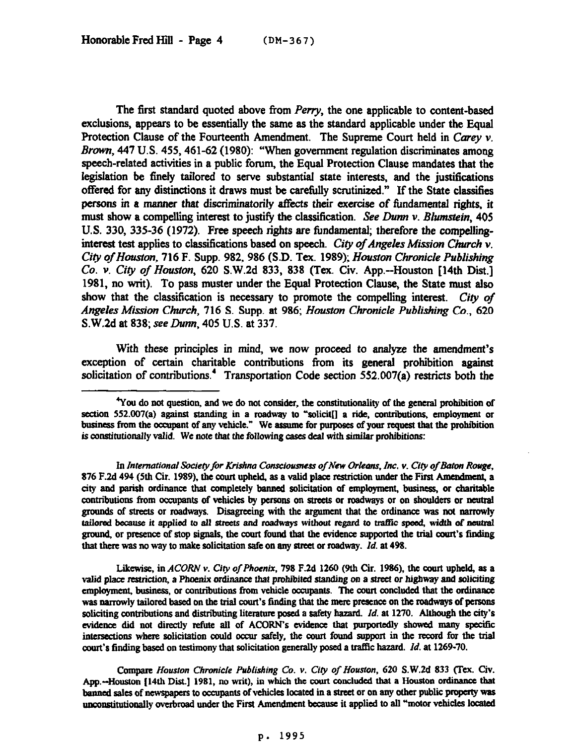The first standard quoted above from *Perry,* the one applicable to content-based exclusions, appears to be essentially the same as the standard applicable under the Equal Protection Clause of the Fourteenth Amendment. The Supreme Court held in Carey  $v$ . *Brown*, 447 U.S. 455, 461-62 (1980): "When government regulation discriminates among speech-related activities in a public forum, the Equal Protection Clause mandates that the legislation be finely tailored to serve substantial state interests, and the justifications offered for any distinctions it draws must be carefully scrutinized." If the State classifies persons in a manner that discriminatorily affects their exercise of fundamental rights, it must show a compelling interest to justify the classification. *See Dunn v. Blumstein*, 405 U.S. 330, 335-36 (1972). Free speech rights are fundamental; therefore the compellinginterest test applies to classifications based on speech. *City of Angeles Mission Church v. City of Houston, 716 F. Supp. 982, 986 (S.D. Tex. 1989); <i>Houston Chronicle Publishing* Co. v. City of Houston, 620 S.W.2d 833, 838 (Tex. Civ. App.--Houston [14th Dist.] 1981, no writ). To pass muster under the Equal Protection Clause, the State must also show that the classification is necessary to promote the compelling interest. *City of Angeles Mission Church,* 716 S. Supp. at 986; *Houston Chronicle Publishing Co., 620*  S.W.2d at 838; see Dunn, 405 U.S. at 337.

With these principles in mind, we now proceed to analyze the amendment's exception of certain charitable contributions from its general prohibition against solicitation of contributions.<sup>4</sup> Transportation Code section 552.007(a) restricts both the

In International Society for Krishna Consciousness of New Orleans, Inc. v. City of Baton Rouge, 876 F.2d 494 (5th Cir. 1989), the court upheld, as a valid place restriction under the First Amendment, a city and parish ordinance that completely banned solicitation of employment, business, or charitable contributions from occupants of vehicles by persons on streets or roadways or on shoulders or neutral grounds of streets or roadways. Disagreeting with the argument that the ordinance was not narrowly tailored because it applied to all streets and roadways without regard to traffic speed, width of neutral ground, or presence of stop signals, the court found that the evidence supported the trial court's finding that there was no way to make solicitation safe on any street or roadway. *Id.* at 498.

Likewise, in *ACORN Y. Ciry of Phoenix, 798* F.2d 1260 (9th Cir. 196%). the court upheld., as a valid place restriction, a Phoenix ordinance that prohibited standing on a street or highway and soliciting employment, business, or contributions from vehicle occupants. The court concluded that the ordinance was narrowly tailored based on the trial court's finding that the mere presence on the roadways of persons soliciting contributions and distributing literature posed a safety hazard. *Id.* at 1270. Although the city's evidence did not directly refute all of ACORN's evidence that purportedly showed many specific intersections where solicitation could occur safely, the court found support in the record for the trial ooort's finding based on testimony that solicitation generally posed a tmfIic hazard. *Id.* a1 1269-70.

Compare *Houston Chronicle Publishing Co. v. City of Houston, 620 S.W.2d 833 (Tex. Civ.* App.-Houston [14th Dist.] 1981, no writ), in which the court concluded that a Houston ordinance that banned sales of newspapers to occupants of vehicles located in a street or on any other public property was unconstitutionally overbroad under the First Amendment because it applied to all "motor vehicles located

<sup>&</sup>lt;sup>4</sup>You do not question, and we do not consider, the constitutionality of the general prohibition of section 552.007(a) against standing in a roadway to "solicit<sup>[]</sup> a ride, contributions, employment or business from the occupant of any vehicle." We assume for purposes of your request that the prohibition is constitutionally valid. We note that the following cases deal with similar prohibitions: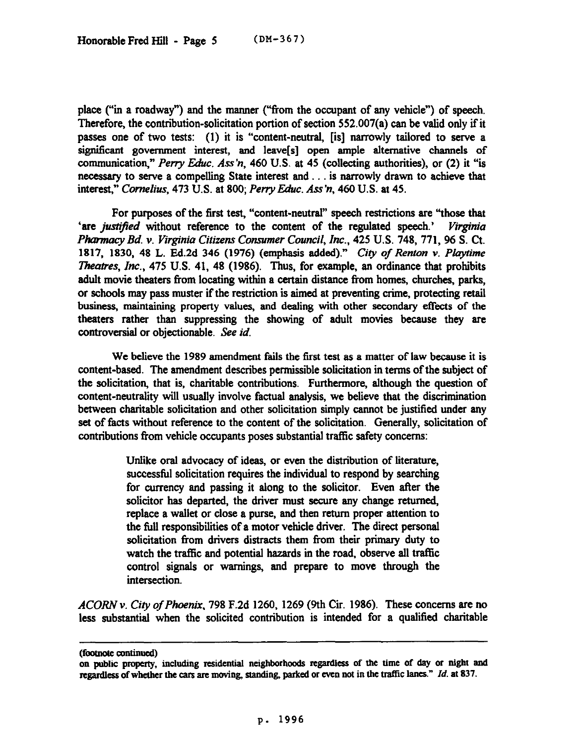place ("in a roadway") and the manner ("from the occupant of any vehicle") of speech. Therefore, the contribution-solicitation portion of section  $552.007(a)$  can be valid only if it passes one of two tests: (1) it is "content-neutral, [is] narrowly tailored to serve a significant government interest, and leave[s] open ample alternative channels of communication," *Perry Educ. Ass'n*, 460 U.S. at 45 (collecting authorities), or (2) it "is necessary to serve a compelling State interest and . . . is narrowly drawn to achieve that interest," *Cornelius, 473* **U.S. at 800;** *Peny Educ. Ass'n, 460* U.S. at 45.

For purposes of the first test, "content-neutral" speech restrictions are "those that 'are *justified* without reference to the content of the regulated speech.' Virginia *Pharmacy Bd. v. Virginia Citizens Consumer Council, Inc., 425* U.S. 748, 771, 96 S. Ct. 1817, 1830, 48 L. Ed.2d *346* (1976) (emphasis added)." *Cify of Renton v. Playtime*  Theatres, Inc., 475 U.S. 41, 48 (1986). Thus, for example, an ordinance that prohibits adult movie theaters from locating within a certain distance from homes, churches, parks, or schools may pass muster if the restriction is aimed at preventing crime, protecting retail business, maintaining property values, and dealing with other secondary effects of the theaters rather than suppressing the showing of adult movies because they are controversial or objectionable. See id.

We believe the 1989 amendment fails the first test as a matter of law because it is content-based. The amendment describes permissible solicitation in terms of the subject of the solicitation, that is, charitable contributions. Furthermore, although the question of content-neutrality will usually involve factual analysis, we believe that the discrimination between charitable solicitation and other solicitation simply cannot be justified under any set of facts without reference to the content of the solicitation. Generally, solicitation of contributions from vehicle occupants poses substantial traffic safety concerns:

> Unlike oral advocacy of ideas, or even the distribution of **literature,**  successful solicitation requires the individual to respond by searching for currency and passing it along to the solicitor. Even after the solicitor has departed, the driver must secure any change returned, replace a wallet or close a purse, and then return proper attention to the full responsibilities of a motor vehicle driver. The direct personal solicitation from drivers distracts them from their primary duty to watch the traffic and potential hazards in the road, observe all traffic control signals or warnings, and prepare to move through the **intersection.**

*ACORN v. City of Phoenix, 798* F.2d 1260, 1269 (9th Cii. 1986). These. wncerns are no less substantial when the solicited contribution is intended for a qualified charitable

**<sup>(</sup>foomotc amtinucd)** 

on public property, including residential neighborhoods regardless of the time of day or night and **regsrdless of whether the cars are moving, standing, parked or even not in the traflic lanes."** *Id. at 837.*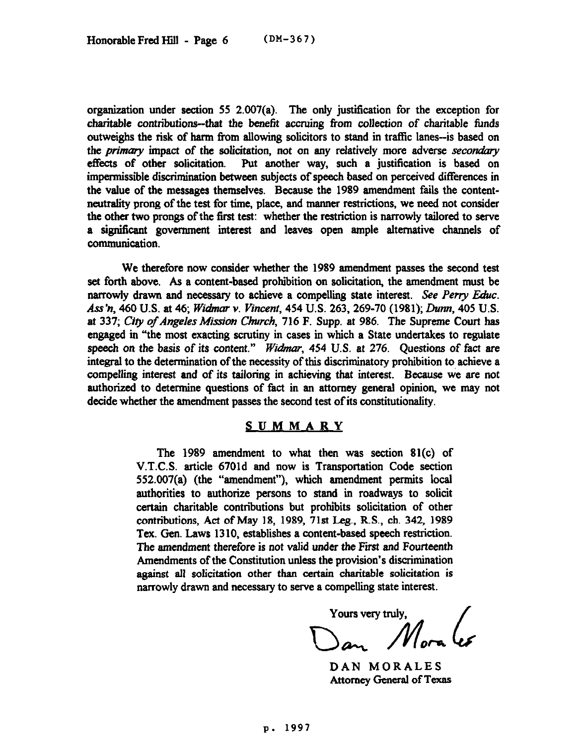organization under section 55 2.007(a). The only justification for the exception for charitable contributions-that the benefit accruing from collection of charitable funds outweighs the risk of harm from allowing solicitors to stand in traffic lanes-is based on the *primary* impact of the solicitation, not on any relatively more adverse secondary effects of other solicitation. Put another way, such a justification is based on impermissible discrimination between subjects of speech based on perceived differences in the value of the messages themselves. Because the 1989 amendment fails the contentneutrality prong of the test for time, place, and manner restrictions, we need not consider the other two prongs of the first test: whether the restriction is narrowly tailored to serve a significant government interest and leaves open ample alternative channels of communication.

We therefore now consider whether the 1989 amendment passes the second test set forth above. As a content-based prohibition on solicitation, the amendment must be narrowly drawn and necessary to achieve a compelling state interest. See Perry Educ. *Ass'n, 460* U.S. at 46; *Widmar v. Vinceni, 454* U.S. 263,269-70 (1981); *Dunn, 405* U.S. at 337; *City of Angeles Mission Church*, 716 F. Supp. at 986. The Supreme Court has engaged in "the most exacting scrutiny in cases in which a State undertakes to regulate speech *on the* basis of its *content." Widnar, 454* U.S. *at 276.* Questions of fact are integral to the determination of the necessity of this discriminatory prohibition to achieve a compelling interest and of its tailoring in achieving that interest. Because we are not authorized to determine questions of fact in an attorney general opinion, we may not decide whether the amendment passes the second test of its constitutionality.

## **SUMMARY**

The 1989 amendment to what then was section 81(c) of V.T.C.S. article 6701d and now is Transportation Code section 552.007(a) (the "amendment"), which amendment permits local authorities to authorize persons to stand in roadways to solicit certain charitable contributions but prohibits solicitation of other contributions, Act of May 18, 1989, 71st Leg., RS., ch. 342, 1989 Tex. Gen. Laws 1310, establishes a content-based speech restriction. The amendment therefore is not valid under the First and Fourteenth Amendments of the Constitution unless the provision's discrimination against all solicitation other than certain charitable solicitation is narrowly drawn and necessary to serve a compelling state interest.

Yours very truly,

DAN MORALES Attorney General of Texas